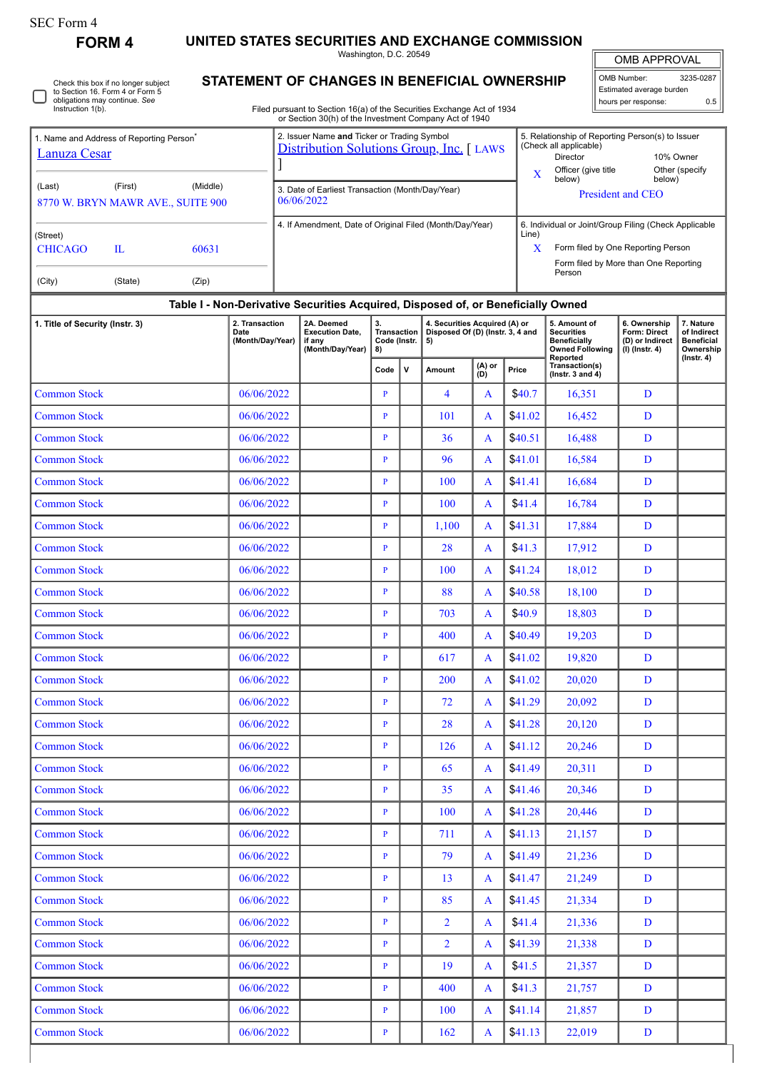## SEC Form 4

**FORM 4 UNITED STATES SECURITIES AND EXCHANGE COMMISSION**

Washington, D.C. 20549

OMB APPROVAL

 $\blacksquare$ 

| OMB Number:              | 3235-0287 |  |  |  |  |  |  |  |  |
|--------------------------|-----------|--|--|--|--|--|--|--|--|
| Estimated average burden |           |  |  |  |  |  |  |  |  |
| hours per response:      | ሰ ፣       |  |  |  |  |  |  |  |  |

|  | Check this box if no longer subject<br>to Section 16. Form 4 or Form 5<br>obligations may continue. See<br>Instruction 1(b). |
|--|------------------------------------------------------------------------------------------------------------------------------|
|--|------------------------------------------------------------------------------------------------------------------------------|

## **STATEMENT OF CHANGES IN BENEFICIAL OWNERSHIP**

Filed pursuant to Section 16(a) of the Securities Exchange Act of 1934 or Section 30(h) of the Investment Company Act of 1940

| Lanuza Cesar<br>(Last)               | 1. Name and Address of Reporting Person<br>(First)<br>8770 W. BRYN MAWR AVE., SUITE 900 | (Middle)                                   | 2. Issuer Name and Ticker or Trading Symbol<br>5. Relationship of Reporting Person(s) to Issuer<br>(Check all applicable)<br>Distribution Solutions Group, Inc. [ LAWS<br>Director<br>10% Owner<br>Officer (give title<br>Other (specify<br>$\mathbf X$<br>below)<br>below)<br>3. Date of Earliest Transaction (Month/Day/Year)<br><b>President and CEO</b><br>06/06/2022<br>4. If Amendment, Date of Original Filed (Month/Day/Year)<br>6. Individual or Joint/Group Filing (Check Applicable<br>Line)<br>X<br>Form filed by One Reporting Person<br>Form filed by More than One Reporting<br>Person |                                                |              |                                                                         |               |         |                                                                                                |                                                                   |                                                                                |  |  |  |
|--------------------------------------|-----------------------------------------------------------------------------------------|--------------------------------------------|-------------------------------------------------------------------------------------------------------------------------------------------------------------------------------------------------------------------------------------------------------------------------------------------------------------------------------------------------------------------------------------------------------------------------------------------------------------------------------------------------------------------------------------------------------------------------------------------------------|------------------------------------------------|--------------|-------------------------------------------------------------------------|---------------|---------|------------------------------------------------------------------------------------------------|-------------------------------------------------------------------|--------------------------------------------------------------------------------|--|--|--|
| (Street)<br><b>CHICAGO</b><br>(City) | $\mathbf{L}$<br>(State)                                                                 | 60631<br>(Zip)                             |                                                                                                                                                                                                                                                                                                                                                                                                                                                                                                                                                                                                       |                                                |              |                                                                         |               |         |                                                                                                |                                                                   |                                                                                |  |  |  |
|                                      |                                                                                         |                                            | Table I - Non-Derivative Securities Acquired, Disposed of, or Beneficially Owned                                                                                                                                                                                                                                                                                                                                                                                                                                                                                                                      |                                                |              |                                                                         |               |         |                                                                                                |                                                                   |                                                                                |  |  |  |
| 1. Title of Security (Instr. 3)      |                                                                                         | 2. Transaction<br>Date<br>(Month/Day/Year) | 2A. Deemed<br><b>Execution Date,</b><br>if any<br>(Month/Day/Year)                                                                                                                                                                                                                                                                                                                                                                                                                                                                                                                                    | 3.<br><b>Transaction</b><br>Code (Instr.<br>8) |              | 4. Securities Acquired (A) or<br>Disposed Of (D) (Instr. 3, 4 and<br>5) |               |         | 5. Amount of<br><b>Securities</b><br><b>Beneficially</b><br><b>Owned Following</b><br>Reported | 6. Ownership<br>Form: Direct<br>(D) or Indirect<br>(I) (Instr. 4) | 7. Nature<br>of Indirect<br><b>Beneficial</b><br>Ownership<br>$($ lnstr. 4 $)$ |  |  |  |
|                                      |                                                                                         |                                            |                                                                                                                                                                                                                                                                                                                                                                                                                                                                                                                                                                                                       | Code                                           | $\mathsf{v}$ | Amount                                                                  | (A) or<br>(D) | Price   | Transaction(s)<br>( $lnstr. 3 and 4$ )                                                         |                                                                   |                                                                                |  |  |  |
| <b>Common Stock</b>                  |                                                                                         | 06/06/2022                                 |                                                                                                                                                                                                                                                                                                                                                                                                                                                                                                                                                                                                       | $\mathbf{P}$                                   |              | $\overline{4}$                                                          | A             | \$40.7  | 16,351                                                                                         | D                                                                 |                                                                                |  |  |  |
| <b>Common Stock</b>                  |                                                                                         | 06/06/2022                                 |                                                                                                                                                                                                                                                                                                                                                                                                                                                                                                                                                                                                       | $\mathbf{P}$                                   |              | 101                                                                     | A             | \$41.02 | 16,452                                                                                         | D                                                                 |                                                                                |  |  |  |
| <b>Common Stock</b>                  |                                                                                         | 06/06/2022                                 |                                                                                                                                                                                                                                                                                                                                                                                                                                                                                                                                                                                                       | $\, {\bf p}$                                   |              | 36                                                                      | A             | \$40.51 | 16,488                                                                                         | D                                                                 |                                                                                |  |  |  |
| <b>Common Stock</b>                  |                                                                                         | 06/06/2022                                 |                                                                                                                                                                                                                                                                                                                                                                                                                                                                                                                                                                                                       | $\mathbf{P}$                                   |              | 96                                                                      | $\mathbf{A}$  | \$41.01 | 16,584                                                                                         | D                                                                 |                                                                                |  |  |  |
| <b>Common Stock</b>                  |                                                                                         | 06/06/2022                                 |                                                                                                                                                                                                                                                                                                                                                                                                                                                                                                                                                                                                       | $\mathbf{P}$                                   |              | 100                                                                     | A             | \$41.41 | 16,684                                                                                         | D                                                                 |                                                                                |  |  |  |
| <b>Common Stock</b>                  |                                                                                         | 06/06/2022                                 |                                                                                                                                                                                                                                                                                                                                                                                                                                                                                                                                                                                                       | $\mathbf{P}$                                   |              | 100                                                                     | A             | \$41.4  | 16,784                                                                                         | D                                                                 |                                                                                |  |  |  |
| <b>Common Stock</b>                  |                                                                                         | 06/06/2022                                 |                                                                                                                                                                                                                                                                                                                                                                                                                                                                                                                                                                                                       | $\mathbf{P}$                                   |              | 1,100                                                                   | A             | \$41.31 | 17,884                                                                                         | D                                                                 |                                                                                |  |  |  |
| <b>Common Stock</b>                  |                                                                                         | 06/06/2022                                 |                                                                                                                                                                                                                                                                                                                                                                                                                                                                                                                                                                                                       | $\mathbf{P}$                                   |              | 28                                                                      | A             | \$41.3  | 17,912                                                                                         | D                                                                 |                                                                                |  |  |  |
| <b>Common Stock</b>                  |                                                                                         | 06/06/2022                                 |                                                                                                                                                                                                                                                                                                                                                                                                                                                                                                                                                                                                       | $\mathbf{P}$                                   |              | 100                                                                     | A             | \$41.24 | 18,012                                                                                         | D                                                                 |                                                                                |  |  |  |
| <b>Common Stock</b>                  |                                                                                         | 06/06/2022                                 |                                                                                                                                                                                                                                                                                                                                                                                                                                                                                                                                                                                                       | $\mathbf{P}$                                   |              | 88                                                                      | A             | \$40.58 | 18,100                                                                                         | D                                                                 |                                                                                |  |  |  |
| <b>Common Stock</b>                  |                                                                                         | 06/06/2022                                 |                                                                                                                                                                                                                                                                                                                                                                                                                                                                                                                                                                                                       | $\mathbf{P}$                                   |              | 703                                                                     | A             | \$40.9  | 18,803                                                                                         | D                                                                 |                                                                                |  |  |  |
| <b>Common Stock</b>                  |                                                                                         | 06/06/2022                                 |                                                                                                                                                                                                                                                                                                                                                                                                                                                                                                                                                                                                       | $\, {\bf p}$                                   |              | 400                                                                     | A             | \$40.49 | 19,203                                                                                         | D                                                                 |                                                                                |  |  |  |
| <b>Common Stock</b>                  |                                                                                         | 06/06/2022                                 |                                                                                                                                                                                                                                                                                                                                                                                                                                                                                                                                                                                                       | $\mathbf{P}$                                   |              | 617                                                                     | A             | \$41.02 | 19,820                                                                                         | D                                                                 |                                                                                |  |  |  |
| <b>Common Stock</b>                  |                                                                                         | 06/06/2022                                 |                                                                                                                                                                                                                                                                                                                                                                                                                                                                                                                                                                                                       | $\mathbf{P}$                                   |              | 200                                                                     | A             | \$41.02 | 20,020                                                                                         | D                                                                 |                                                                                |  |  |  |
| <b>Common Stock</b>                  |                                                                                         | 06/06/2022                                 |                                                                                                                                                                                                                                                                                                                                                                                                                                                                                                                                                                                                       | P                                              |              | 72                                                                      | $\mathbf{A}$  | \$41.29 | 20,092                                                                                         | D                                                                 |                                                                                |  |  |  |
| <b>Common Stock</b>                  |                                                                                         | 06/06/2022                                 |                                                                                                                                                                                                                                                                                                                                                                                                                                                                                                                                                                                                       | $\mathbf{P}$                                   |              | 28                                                                      | A             | \$41.28 | 20,120                                                                                         | D                                                                 |                                                                                |  |  |  |
| <b>Common Stock</b>                  |                                                                                         | 06/06/2022                                 |                                                                                                                                                                                                                                                                                                                                                                                                                                                                                                                                                                                                       | $\mathbf{P}$                                   |              | 126                                                                     | A             | \$41.12 | 20,246                                                                                         | D                                                                 |                                                                                |  |  |  |
| <b>Common Stock</b>                  |                                                                                         | 06/06/2022                                 |                                                                                                                                                                                                                                                                                                                                                                                                                                                                                                                                                                                                       | $\mathbf{P}$                                   |              | 65                                                                      | A             | \$41.49 | 20,311                                                                                         | D                                                                 |                                                                                |  |  |  |
| <b>Common Stock</b>                  |                                                                                         | 06/06/2022                                 |                                                                                                                                                                                                                                                                                                                                                                                                                                                                                                                                                                                                       | $\mathbf{P}$                                   |              | 35                                                                      | A             | \$41.46 | 20,346                                                                                         | D                                                                 |                                                                                |  |  |  |
| <b>Common Stock</b>                  |                                                                                         | 06/06/2022                                 |                                                                                                                                                                                                                                                                                                                                                                                                                                                                                                                                                                                                       | $\mathbf{P}$                                   |              | 100                                                                     | A             | \$41.28 | 20,446                                                                                         | D                                                                 |                                                                                |  |  |  |
| <b>Common Stock</b>                  |                                                                                         | 06/06/2022                                 |                                                                                                                                                                                                                                                                                                                                                                                                                                                                                                                                                                                                       | $\mathbf{P}$                                   |              | 711                                                                     | A             | \$41.13 | 21,157                                                                                         | D                                                                 |                                                                                |  |  |  |
| <b>Common Stock</b>                  |                                                                                         | 06/06/2022                                 |                                                                                                                                                                                                                                                                                                                                                                                                                                                                                                                                                                                                       | $\mathbf{P}$                                   |              | 79                                                                      | $\mathbf{A}$  | \$41.49 | 21,236                                                                                         | D                                                                 |                                                                                |  |  |  |
| <b>Common Stock</b>                  |                                                                                         | 06/06/2022                                 |                                                                                                                                                                                                                                                                                                                                                                                                                                                                                                                                                                                                       | $\mathbf{P}$                                   |              | 13                                                                      | A             | \$41.47 | 21,249                                                                                         | D                                                                 |                                                                                |  |  |  |
| <b>Common Stock</b>                  |                                                                                         | 06/06/2022                                 |                                                                                                                                                                                                                                                                                                                                                                                                                                                                                                                                                                                                       | $\mathbf{P}$                                   |              | 85                                                                      | A             | \$41.45 | 21,334                                                                                         | D                                                                 |                                                                                |  |  |  |
| <b>Common Stock</b>                  |                                                                                         | 06/06/2022                                 |                                                                                                                                                                                                                                                                                                                                                                                                                                                                                                                                                                                                       | $\mathbf{P}$                                   |              | $\overline{2}$                                                          | A             | \$41.4  | 21,336                                                                                         | D                                                                 |                                                                                |  |  |  |
| <b>Common Stock</b>                  |                                                                                         | 06/06/2022                                 |                                                                                                                                                                                                                                                                                                                                                                                                                                                                                                                                                                                                       | $\mathbf{P}$                                   |              | $\overline{2}$                                                          | A             | \$41.39 | 21,338                                                                                         | D                                                                 |                                                                                |  |  |  |
| <b>Common Stock</b>                  |                                                                                         | 06/06/2022                                 |                                                                                                                                                                                                                                                                                                                                                                                                                                                                                                                                                                                                       | $\mathbf{P}$                                   |              | 19                                                                      | A             | \$41.5  | 21,357                                                                                         | D                                                                 |                                                                                |  |  |  |
| <b>Common Stock</b>                  |                                                                                         | 06/06/2022                                 |                                                                                                                                                                                                                                                                                                                                                                                                                                                                                                                                                                                                       | $\mathbf{P}$                                   |              | 400                                                                     | $\mathbf{A}$  | \$41.3  | 21,757                                                                                         | D                                                                 |                                                                                |  |  |  |

Common Stock 06/06/2022 P 100 A \$41.14 21,857 D Common Stock 1991 | 06/06/2022 | P | 162 | A | \$41.13 | 22,019 | D